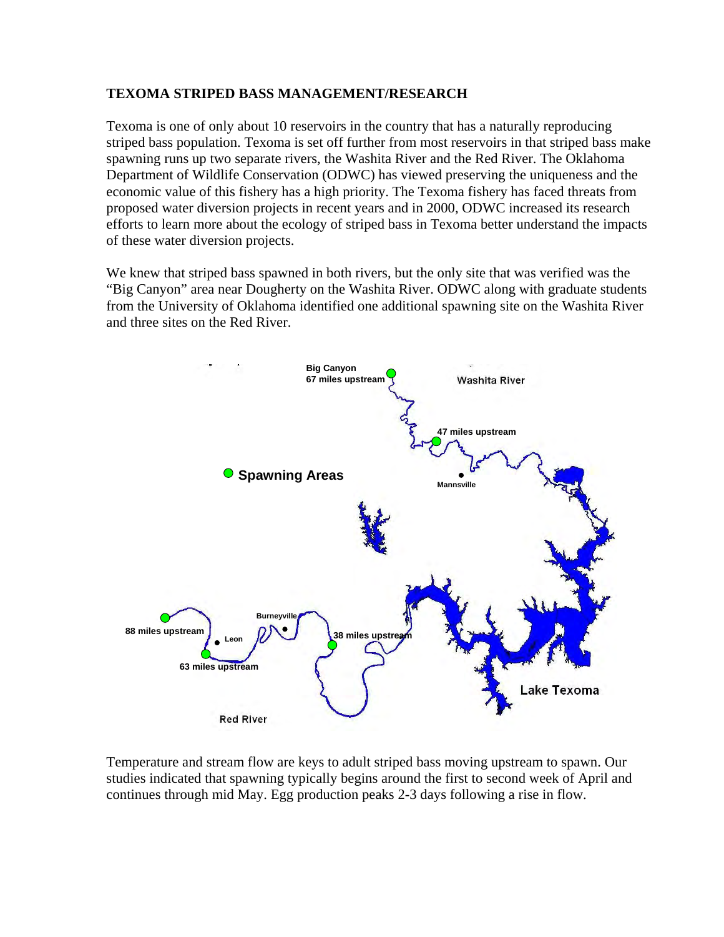## **TEXOMA STRIPED BASS MANAGEMENT/RESEARCH**

Texoma is one of only about 10 reservoirs in the country that has a naturally reproducing striped bass population. Texoma is set off further from most reservoirs in that striped bass make spawning runs up two separate rivers, the Washita River and the Red River. The Oklahoma Department of Wildlife Conservation (ODWC) has viewed preserving the uniqueness and the economic value of this fishery has a high priority. The Texoma fishery has faced threats from proposed water diversion projects in recent years and in 2000, ODWC increased its research efforts to learn more about the ecology of striped bass in Texoma better understand the impacts of these water diversion projects.

We knew that striped bass spawned in both rivers, but the only site that was verified was the "Big Canyon" area near Dougherty on the Washita River. ODWC along with graduate students from the University of Oklahoma identified one additional spawning site on the Washita River and three sites on the Red River.



Temperature and stream flow are keys to adult striped bass moving upstream to spawn. Our studies indicated that spawning typically begins around the first to second week of April and continues through mid May. Egg production peaks 2-3 days following a rise in flow.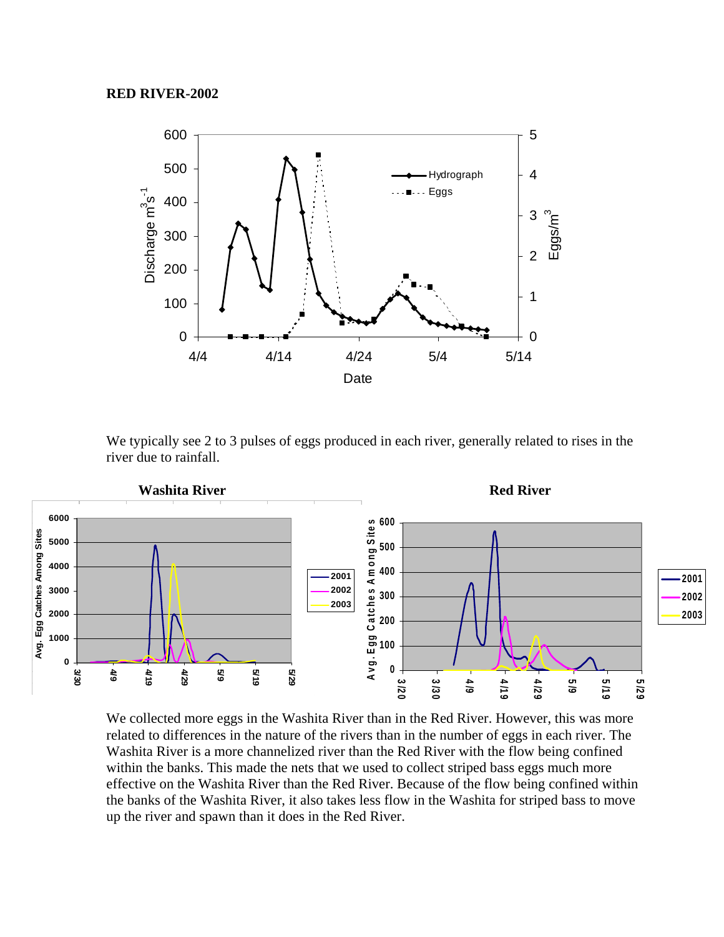

We typically see 2 to 3 pulses of eggs produced in each river, generally related to rises in the river due to rainfall.



We collected more eggs in the Washita River than in the Red River. However, this was more related to differences in the nature of the rivers than in the number of eggs in each river. The Washita River is a more channelized river than the Red River with the flow being confined within the banks. This made the nets that we used to collect striped bass eggs much more effective on the Washita River than the Red River. Because of the flow being confined within the banks of the Washita River, it also takes less flow in the Washita for striped bass to move up the river and spawn than it does in the Red River.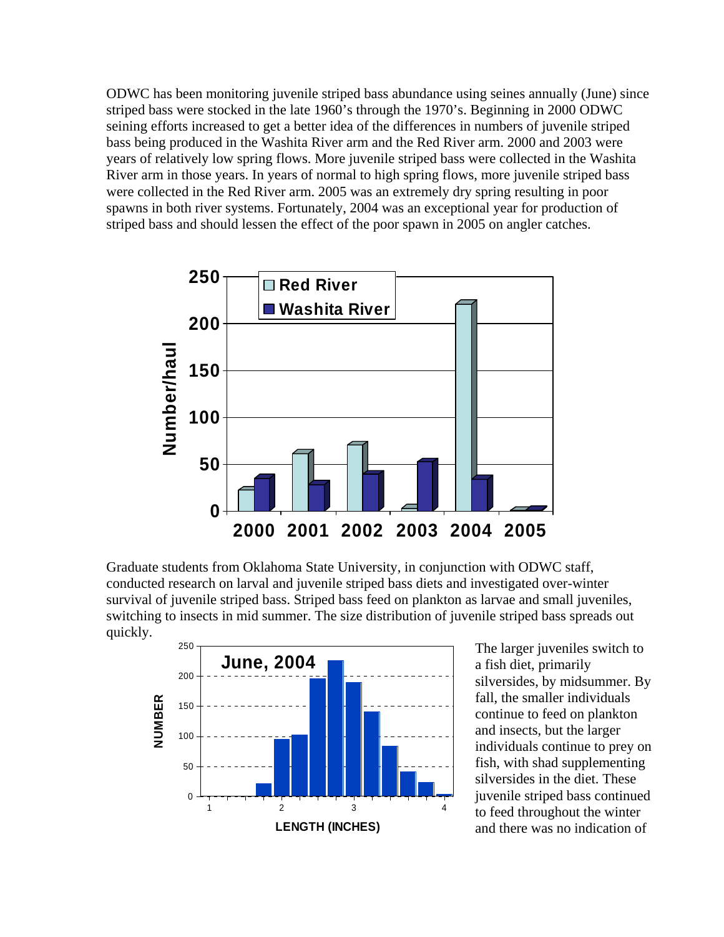ODWC has been monitoring juvenile striped bass abundance using seines annually (June) since striped bass were stocked in the late 1960's through the 1970's. Beginning in 2000 ODWC seining efforts increased to get a better idea of the differences in numbers of juvenile striped bass being produced in the Washita River arm and the Red River arm. 2000 and 2003 were years of relatively low spring flows. More juvenile striped bass were collected in the Washita River arm in those years. In years of normal to high spring flows, more juvenile striped bass were collected in the Red River arm. 2005 was an extremely dry spring resulting in poor spawns in both river systems. Fortunately, 2004 was an exceptional year for production of striped bass and should lessen the effect of the poor spawn in 2005 on angler catches.



Graduate students from Oklahoma State University, in conjunction with ODWC staff, conducted research on larval and juvenile striped bass diets and investigated over-winter survival of juvenile striped bass. Striped bass feed on plankton as larvae and small juveniles, switching to insects in mid summer. The size distribution of juvenile striped bass spreads out quickly.



a fish diet, primarily silversides, by midsummer. By fall, the smaller individuals continue to feed on plankton and insects, but the larger individuals continue to prey on fish, with shad supplementing silversides in the diet. These juvenile striped bass continued to feed throughout the winter and there was no indication of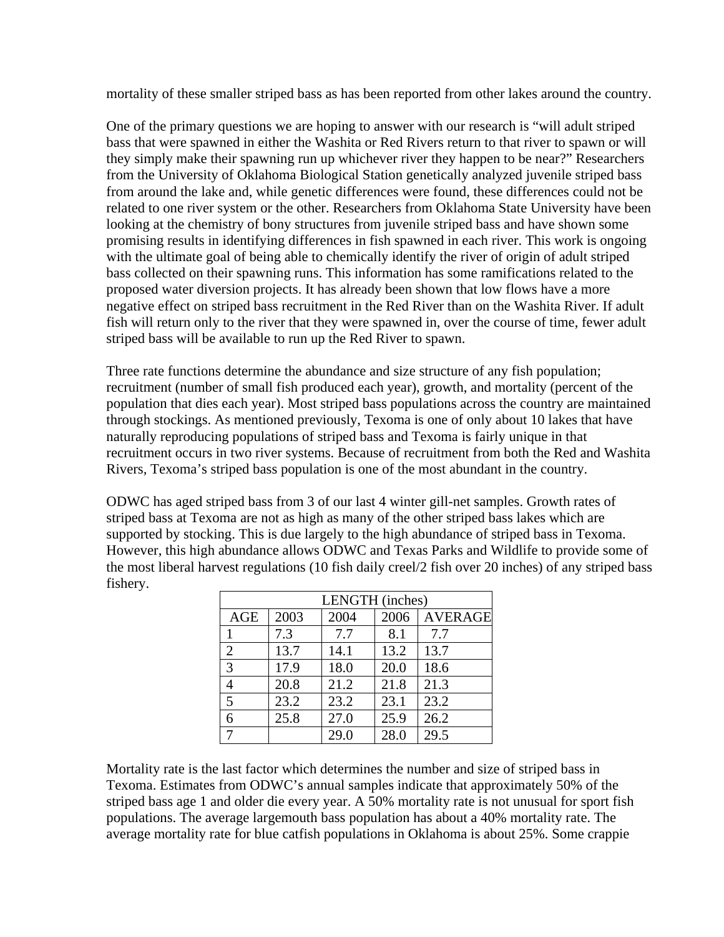mortality of these smaller striped bass as has been reported from other lakes around the country.

One of the primary questions we are hoping to answer with our research is "will adult striped bass that were spawned in either the Washita or Red Rivers return to that river to spawn or will they simply make their spawning run up whichever river they happen to be near?" Researchers from the University of Oklahoma Biological Station genetically analyzed juvenile striped bass from around the lake and, while genetic differences were found, these differences could not be related to one river system or the other. Researchers from Oklahoma State University have been looking at the chemistry of bony structures from juvenile striped bass and have shown some promising results in identifying differences in fish spawned in each river. This work is ongoing with the ultimate goal of being able to chemically identify the river of origin of adult striped bass collected on their spawning runs. This information has some ramifications related to the proposed water diversion projects. It has already been shown that low flows have a more negative effect on striped bass recruitment in the Red River than on the Washita River. If adult fish will return only to the river that they were spawned in, over the course of time, fewer adult striped bass will be available to run up the Red River to spawn.

Three rate functions determine the abundance and size structure of any fish population; recruitment (number of small fish produced each year), growth, and mortality (percent of the population that dies each year). Most striped bass populations across the country are maintained through stockings. As mentioned previously, Texoma is one of only about 10 lakes that have naturally reproducing populations of striped bass and Texoma is fairly unique in that recruitment occurs in two river systems. Because of recruitment from both the Red and Washita Rivers, Texoma's striped bass population is one of the most abundant in the country.

ODWC has aged striped bass from 3 of our last 4 winter gill-net samples. Growth rates of striped bass at Texoma are not as high as many of the other striped bass lakes which are supported by stocking. This is due largely to the high abundance of striped bass in Texoma. However, this high abundance allows ODWC and Texas Parks and Wildlife to provide some of the most liberal harvest regulations (10 fish daily creel/2 fish over 20 inches) of any striped bass fishery.

| LENGTH (inches) |      |      |      |                |
|-----------------|------|------|------|----------------|
| <b>AGE</b>      | 2003 | 2004 | 2006 | <b>AVERAGE</b> |
|                 | 7.3  | 7.7  | 8.1  | 7.7            |
| $\overline{2}$  | 13.7 | 14.1 | 13.2 | 13.7           |
| 3               | 17.9 | 18.0 | 20.0 | 18.6           |
|                 | 20.8 | 21.2 | 21.8 | 21.3           |
| 5               | 23.2 | 23.2 | 23.1 | 23.2           |
| 6               | 25.8 | 27.0 | 25.9 | 26.2           |
|                 |      | 29.0 | 28.0 | 29.5           |

Mortality rate is the last factor which determines the number and size of striped bass in Texoma. Estimates from ODWC's annual samples indicate that approximately 50% of the striped bass age 1 and older die every year. A 50% mortality rate is not unusual for sport fish populations. The average largemouth bass population has about a 40% mortality rate. The average mortality rate for blue catfish populations in Oklahoma is about 25%. Some crappie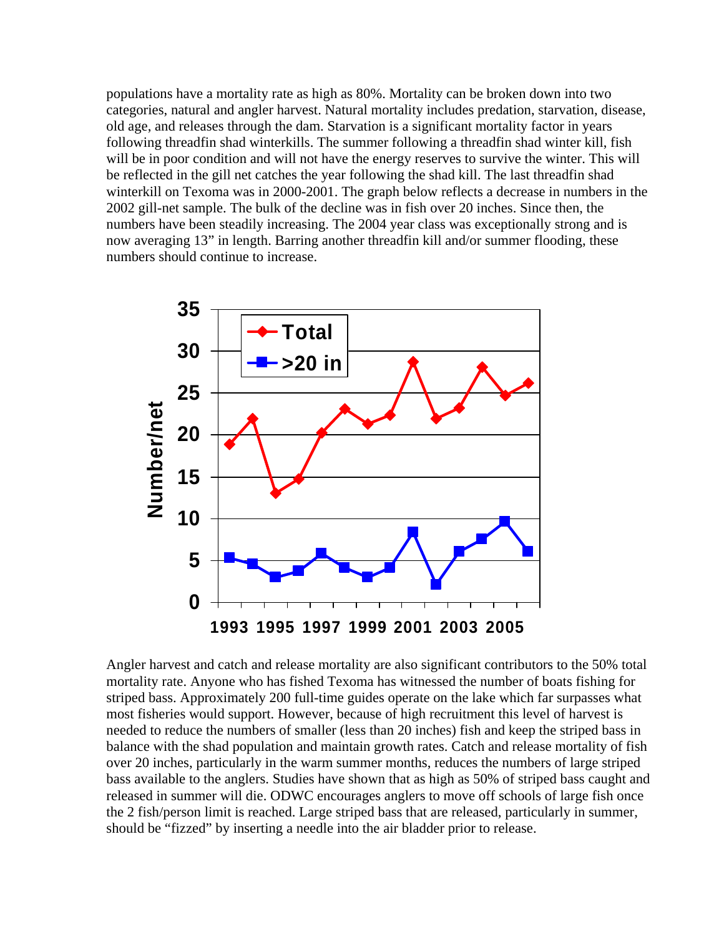populations have a mortality rate as high as 80%. Mortality can be broken down into two categories, natural and angler harvest. Natural mortality includes predation, starvation, disease, old age, and releases through the dam. Starvation is a significant mortality factor in years following threadfin shad winterkills. The summer following a threadfin shad winter kill, fish will be in poor condition and will not have the energy reserves to survive the winter. This will be reflected in the gill net catches the year following the shad kill. The last threadfin shad winterkill on Texoma was in 2000-2001. The graph below reflects a decrease in numbers in the 2002 gill-net sample. The bulk of the decline was in fish over 20 inches. Since then, the numbers have been steadily increasing. The 2004 year class was exceptionally strong and is now averaging 13" in length. Barring another threadfin kill and/or summer flooding, these numbers should continue to increase.



Angler harvest and catch and release mortality are also significant contributors to the 50% total mortality rate. Anyone who has fished Texoma has witnessed the number of boats fishing for striped bass. Approximately 200 full-time guides operate on the lake which far surpasses what most fisheries would support. However, because of high recruitment this level of harvest is needed to reduce the numbers of smaller (less than 20 inches) fish and keep the striped bass in balance with the shad population and maintain growth rates. Catch and release mortality of fish over 20 inches, particularly in the warm summer months, reduces the numbers of large striped bass available to the anglers. Studies have shown that as high as 50% of striped bass caught and released in summer will die. ODWC encourages anglers to move off schools of large fish once the 2 fish/person limit is reached. Large striped bass that are released, particularly in summer, should be "fizzed" by inserting a needle into the air bladder prior to release.